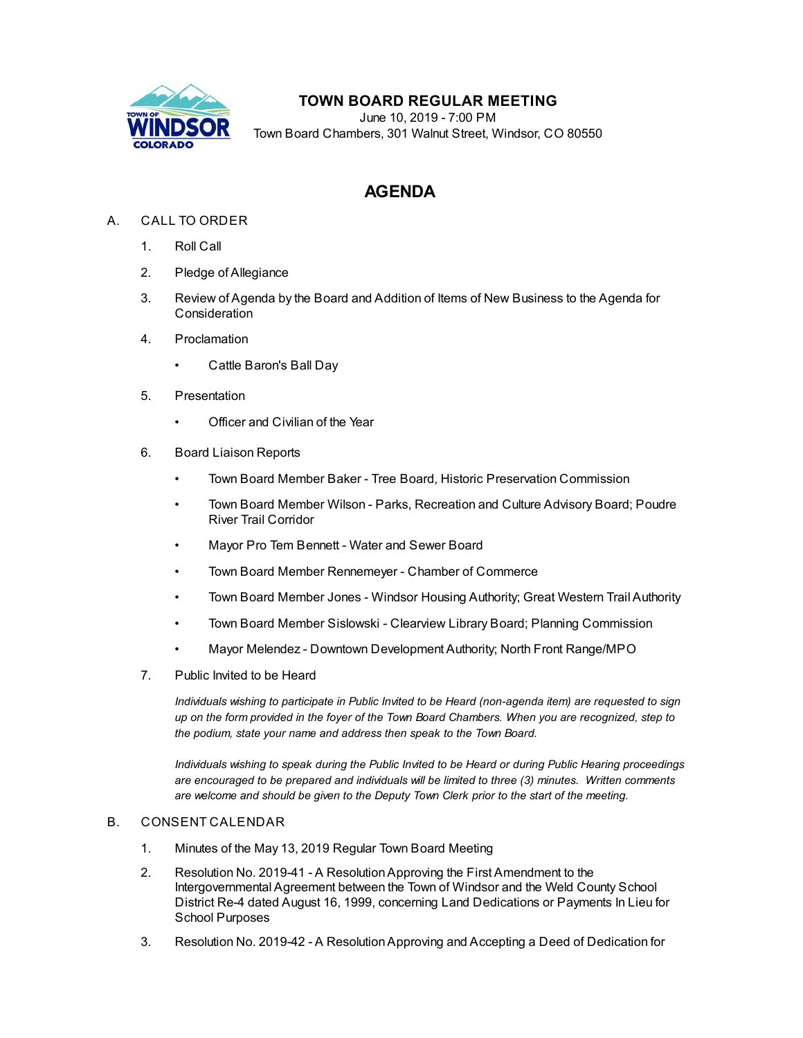

## **TOWN BOARD REGULAR MEETING**

June 10, 2019 - 7:00 PM Town Board Chambers, 301 Walnut Street, Windsor, CO 80550

# **AGENDA**

## A. CALL TO ORDER

- 1. Roll Call
- 2. Pledge of Allegiance
- 3. Review of Agenda by the Board and Addition of Items of New Business to the Agenda for Consideration
- 4. Proclamation
	- [Cattle Baron's Ball Day](file:///C:/Windows/TEMP/CoverSheet.aspx?ItemID=376&MeetingID=34)
- 5. Presentation
	- [Officer and Civilian of the Year](file:///C:/Windows/TEMP/CoverSheet.aspx?ItemID=387&MeetingID=34)
- 6. Board Liaison Reports
	- Town Board Member Baker Tree Board, Historic Preservation Commission
	- Town Board Member Wilson Parks, Recreation and Culture Advisory Board; Poudre River Trail Corridor
	- Mayor Pro Tem Bennett Water and Sewer Board
	- Town Board Member Rennemeyer Chamber of Commerce
	- Town Board Member Jones Windsor Housing Authority; Great Western Trail Authority
	- Town Board Member Sislowski Clearview Library Board; Planning Commission
	- Mayor Melendez Downtown Development Authority; North Front Range/MPO
- 7. Public Invited to be Heard

*Individuals wishing to participate in Public Invited to be Heard (non-agenda item) are requested to sign up on the form provided in the foyer of the Town Board Chambers. When you are recognized, step to the podium, state your name and address then speak to the Town Board.*

*Individuals wishing to speak during the Public Invited to be Heard or during Public Hearing proceedings are encouraged to be prepared and individuals will be limited to three (3) minutes. Written comments are welcome and should be given to the Deputy Town Clerk prior to the start of the meeting.*

### B. CONSENT CALENDAR

- 1. [Minutes of the May 13, 2019 Regular Town Board Meeting](file:///C:/Windows/TEMP/CoverSheet.aspx?ItemID=407&MeetingID=34)
- 2. Resolution No. 2019-41 A Resolution Approving the First Amendment to the Intergovernmental Agreement between the Town of Windsor and the Weld County School [District Re-4 dated August 16, 1999, concerning Land Dedications or Payments In Lieu for](file:///C:/Windows/TEMP/CoverSheet.aspx?ItemID=393&MeetingID=34) School Purposes
- 3. Resolution No. 2019-42 A Resolution Approving and Accepting a Deed of Dedication for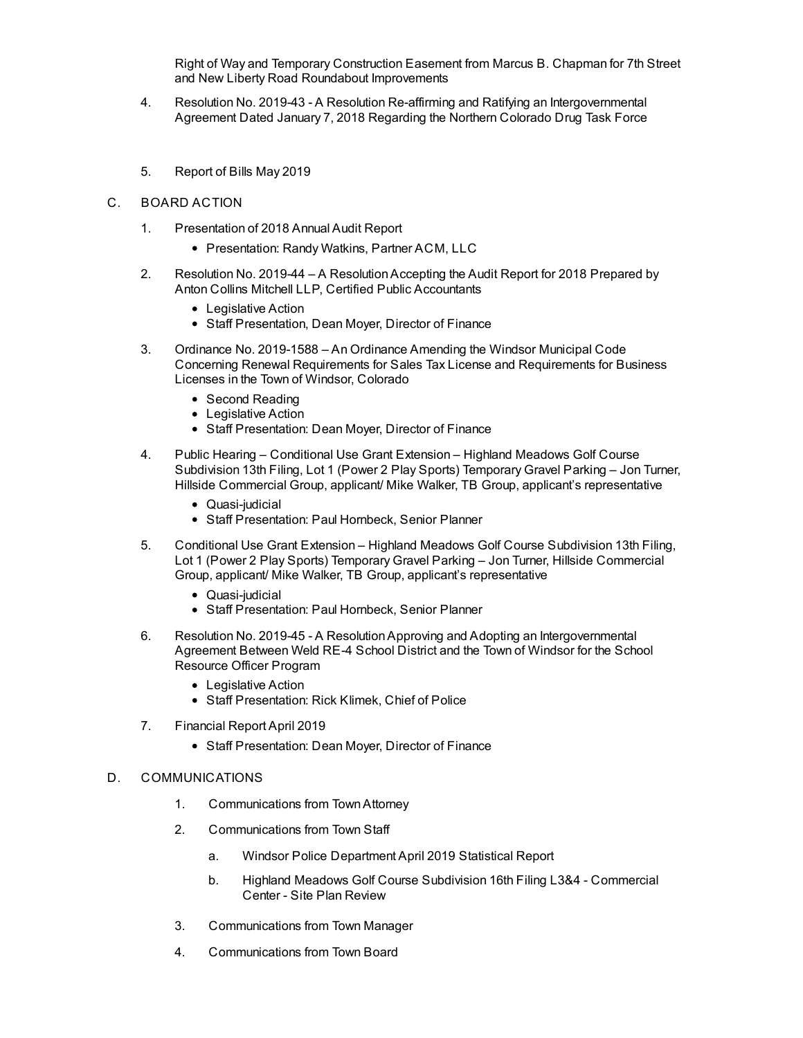[Right of Way and Temporary Construction Easement from Marcus B. Chapman for 7th Street](file:///C:/Windows/TEMP/CoverSheet.aspx?ItemID=406&MeetingID=34) and New Liberty Road Roundabout Improvements

- 4. [Resolution No. 2019-43 A Resolution Re-affirming and Ratifying an Intergovernmental](file:///C:/Windows/TEMP/CoverSheet.aspx?ItemID=395&MeetingID=34) Agreement Dated January 7, 2018 Regarding the Northern Colorado Drug Task Force
- 5. [Report of Bills May 2019](file:///C:/Windows/TEMP/CoverSheet.aspx?ItemID=397&MeetingID=34)

#### C. BOARD ACTION

- 1. [Presentation of 2018 Annual Audit Report](file:///C:/Windows/TEMP/CoverSheet.aspx?ItemID=399&MeetingID=34)
	- Presentation: Randy Watkins, Partner ACM, LLC
- 2. [Resolution No. 2019-44 A Resolution Accepting the Audit Report for 2018 Prepared by](file:///C:/Windows/TEMP/CoverSheet.aspx?ItemID=400&MeetingID=34) Anton Collins Mitchell LLP, Certified Public Accountants
	- Legislative Action
	- Staff Presentation, Dean Moyer, Director of Finance
- 3. Ordinance No. 2019-1588 An Ordinance Amending the Windsor Municipal Code [Concerning Renewal Requirements for Sales Tax License and Requirements for Business](file:///C:/Windows/TEMP/CoverSheet.aspx?ItemID=398&MeetingID=34) Licenses in the Town of Windsor, Colorado
	- Second Reading
	- Legislative Action
	- Staff Presentation: Dean Moyer, Director of Finance
- 4. Public Hearing Conditional Use Grant Extension Highland Meadows Golf Course [Subdivision 13th Filing, Lot 1 \(Power 2 Play Sports\) Temporary Gravel Parking – Jon Turner,](file:///C:/Windows/TEMP/CoverSheet.aspx?ItemID=402&MeetingID=34) Hillside Commercial Group, applicant/ Mike Walker, TB Group, applicant's representative
	- Quasi-judicial
	- Staff Presentation: Paul Hornbeck, Senior Planner
- 5. [Conditional Use Grant Extension Highland Meadows Golf Course Subdivision 13th Filing,](file:///C:/Windows/TEMP/CoverSheet.aspx?ItemID=403&MeetingID=34) Lot 1 (Power 2 Play Sports) Temporary Gravel Parking – Jon Turner, Hillside Commercial Group, applicant/ Mike Walker, TB Group, applicant's representative
	- Quasi-judicial
	- Staff Presentation: Paul Hornbeck, Senior Planner
- 6. Resolution No. 2019-45 A Resolution Approving and Adopting an Intergovernmental [Agreement Between Weld RE-4 School District and the Town of Windsor for the School](file:///C:/Windows/TEMP/CoverSheet.aspx?ItemID=411&MeetingID=34) Resource Officer Program
	- Legislative Action
	- Staff Presentation: Rick Klimek, Chief of Police
- 7. [Financial Report April 2019](file:///C:/Windows/TEMP/CoverSheet.aspx?ItemID=401&MeetingID=34)
	- Staff Presentation: Dean Moyer, Director of Finance

#### D. COMMUNICATIONS

- 1. Communications from Town Attorney
- 2. Communications from Town Staff
	- a. [Windsor Police Department April 2019 Statistical Report](file:///C:/Windows/TEMP/CoverSheet.aspx?ItemID=378&MeetingID=34)
	- b. [Highland Meadows Golf Course Subdivision 16th Filing L3&4 Commercial](file:///C:/Windows/TEMP/CoverSheet.aspx?ItemID=410&MeetingID=34) Center - Site Plan Review
- 3. Communications from Town Manager
- 4. Communications from Town Board